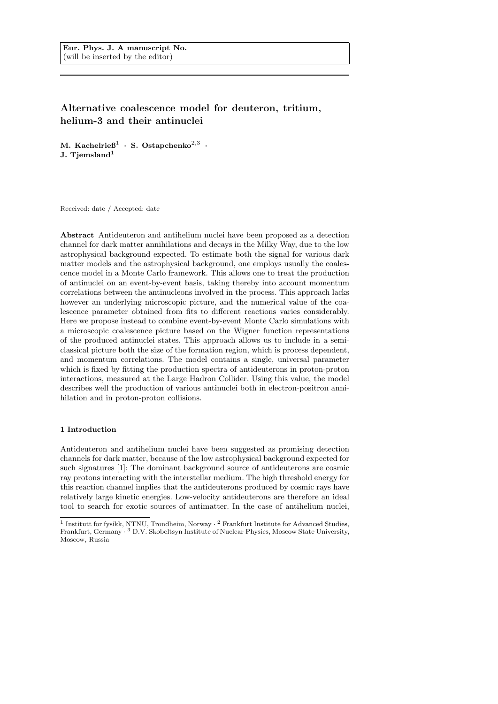# Alternative coalescence model for deuteron, tritium, helium-3 and their antinuclei

M. Kachelrie $6^1$  · S. Ostapchenko<sup>2,3</sup> · J. Tiemsland $<sup>1</sup>$ </sup>

Received: date / Accepted: date

Abstract Antideuteron and antihelium nuclei have been proposed as a detection channel for dark matter annihilations and decays in the Milky Way, due to the low astrophysical background expected. To estimate both the signal for various dark matter models and the astrophysical background, one employs usually the coalescence model in a Monte Carlo framework. This allows one to treat the production of antinuclei on an event-by-event basis, taking thereby into account momentum correlations between the antinucleons involved in the process. This approach lacks however an underlying microscopic picture, and the numerical value of the coalescence parameter obtained from fits to different reactions varies considerably. Here we propose instead to combine event-by-event Monte Carlo simulations with a microscopic coalescence picture based on the Wigner function representations of the produced antinuclei states. This approach allows us to include in a semiclassical picture both the size of the formation region, which is process dependent, and momentum correlations. The model contains a single, universal parameter which is fixed by fitting the production spectra of antideuterons in proton-proton interactions, measured at the Large Hadron Collider. Using this value, the model describes well the production of various antinuclei both in electron-positron annihilation and in proton-proton collisions.

## 1 Introduction

Antideuteron and antihelium nuclei have been suggested as promising detection channels for dark matter, because of the low astrophysical background expected for such signatures [1]: The dominant background source of antideuterons are cosmic ray protons interacting with the interstellar medium. The high threshold energy for this reaction channel implies that the antideuterons produced by cosmic rays have relatively large kinetic energies. Low-velocity antideuterons are therefore an ideal tool to search for exotic sources of antimatter. In the case of antihelium nuclei,

<sup>&</sup>lt;sup>1</sup> Institutt for fysikk, NTNU, Trondheim, Norway · <sup>2</sup> Frankfurt Institute for Advanced Studies, Frankfurt, Germany · <sup>3</sup> D.V. Skobeltsyn Institute of Nuclear Physics, Moscow State University, Moscow, Russia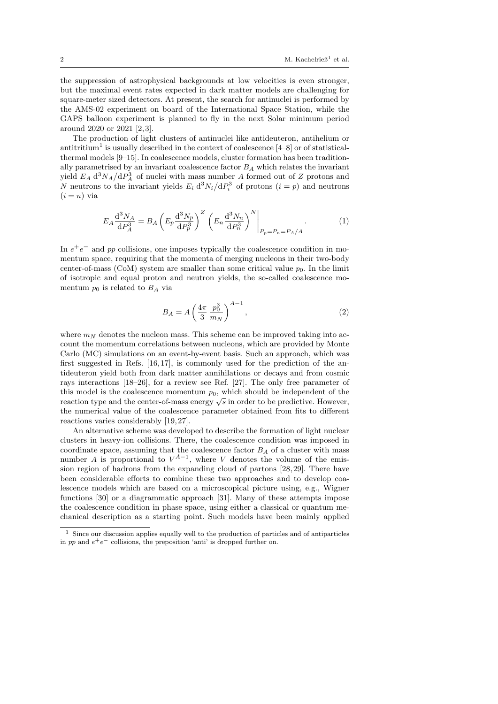the suppression of astrophysical backgrounds at low velocities is even stronger, but the maximal event rates expected in dark matter models are challenging for square-meter sized detectors. At present, the search for antinuclei is performed by the AMS-02 experiment on board of the International Space Station, while the GAPS balloon experiment is planned to fly in the next Solar minimum period around 2020 or 2021 [2, 3].

The production of light clusters of antinuclei like antideuteron, antihelium or antitritium<sup>1</sup> is usually described in the context of coalescence  $[4-8]$  or of statisticalthermal models [9–15]. In coalescence models, cluster formation has been traditionally parametrised by an invariant coalescence factor  $B_A$  which relates the invariant yield  $E_A d^3 N_A / dP_A^3$  of nuclei with mass number A formed out of Z protons and N neutrons to the invariant yields  $E_i d^3 N_i/dP_i^3$  of protons  $(i = p)$  and neutrons  $(i = n)$  via

$$
E_A \frac{d^3 N_A}{dP_A^3} = B_A \left( E_p \frac{d^3 N_p}{dP_p^3} \right)^Z \left( E_n \frac{d^3 N_n}{dP_n^3} \right)^N \Big|_{P_p = P_n = P_A/A} . \tag{1}
$$

In  $e^+e^-$  and pp collisions, one imposes typically the coalescence condition in momentum space, requiring that the momenta of merging nucleons in their two-body center-of-mass (CoM) system are smaller than some critical value  $p_0$ . In the limit of isotropic and equal proton and neutron yields, the so-called coalescence momentum  $p_0$  is related to  $B_A$  via

$$
B_A = A \left(\frac{4\pi}{3} \frac{p_0^3}{m_N}\right)^{A-1},\tag{2}
$$

where  $m_N$  denotes the nucleon mass. This scheme can be improved taking into account the momentum correlations between nucleons, which are provided by Monte Carlo (MC) simulations on an event-by-event basis. Such an approach, which was first suggested in Refs. [16, 17], is commonly used for the prediction of the antideuteron yield both from dark matter annihilations or decays and from cosmic rays interactions [18–26], for a review see Ref. [27]. The only free parameter of this model is the coalescence momentum  $p_0$ , which should be independent of the reaction type and the center-of-mass energy  $\sqrt{s}$  in order to be predictive. However, the numerical value of the coalescence parameter obtained from fits to different reactions varies considerably [19, 27].

An alternative scheme was developed to describe the formation of light nuclear clusters in heavy-ion collisions. There, the coalescence condition was imposed in coordinate space, assuming that the coalescence factor  $B_A$  of a cluster with mass number A is proportional to  $V^{A-1}$ , where V denotes the volume of the emission region of hadrons from the expanding cloud of partons [28, 29]. There have been considerable efforts to combine these two approaches and to develop coalescence models which are based on a microscopical picture using, e.g., Wigner functions [30] or a diagrammatic approach [31]. Many of these attempts impose the coalescence condition in phase space, using either a classical or quantum mechanical description as a starting point. Such models have been mainly applied

 $^{\rm 1}$  Since our discussion applies equally well to the production of particles and of antiparticles in pp and  $e^+e^-$  collisions, the preposition 'anti' is dropped further on.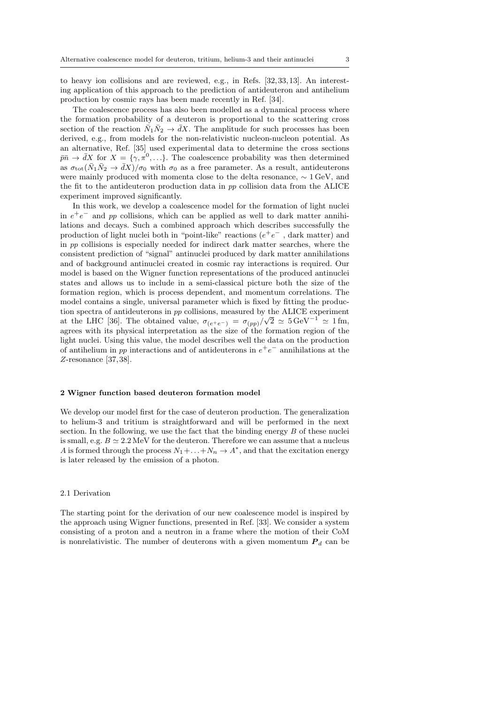to heavy ion collisions and are reviewed, e.g., in Refs. [32,33, 13]. An interesting application of this approach to the prediction of antideuteron and antihelium production by cosmic rays has been made recently in Ref. [34].

The coalescence process has also been modelled as a dynamical process where the formation probability of a deuteron is proportional to the scattering cross section of the reaction  $\bar{N}_1\bar{N}_2 \rightarrow \bar{d}X$ . The amplitude for such processes has been derived, e.g., from models for the non-relativistic nucleon-nucleon potential. As an alternative, Ref. [35] used experimental data to determine the cross sections  $\bar{p}\bar{n} \to \bar{d}X$  for  $X = \{\gamma, \pi^0, \ldots\}$ . The coalescence probability was then determined as  $\sigma_{\rm tot}(\bar{N}_1\bar{N}_2 \to \bar{d}X)/\sigma_0$  with  $\sigma_0$  as a free parameter. As a result, antideuterons were mainly produced with momenta close to the delta resonance, ∼ 1 GeV, and the fit to the antideuteron production data in pp collision data from the ALICE experiment improved significantly.

In this work, we develop a coalescence model for the formation of light nuclei in  $e^+e^-$  and pp collisions, which can be applied as well to dark matter annihilations and decays. Such a combined approach which describes successfully the production of light nuclei both in "point-like" reactions  $(e^+e^-$ , dark matter) and in pp collisions is especially needed for indirect dark matter searches, where the consistent prediction of "signal" antinuclei produced by dark matter annihilations and of background antinuclei created in cosmic ray interactions is required. Our model is based on the Wigner function representations of the produced antinuclei states and allows us to include in a semi-classical picture both the size of the formation region, which is process dependent, and momentum correlations. The model contains a single, universal parameter which is fixed by fitting the production spectra of antideuterons in pp collisions, measured by the ALICE experiment at the LHC [36]. The obtained value,  $\sigma_{(e^+e^-)} = \sigma_{(pp)}/\sqrt{2} \simeq 5 \,\text{GeV}^{-1} \simeq 1 \,\text{fm},$ agrees with its physical interpretation as the size of the formation region of the light nuclei. Using this value, the model describes well the data on the production of antihelium in pp interactions and of antideuterons in  $e^+e^-$  annihilations at the Z-resonance [37, 38].

## 2 Wigner function based deuteron formation model

We develop our model first for the case of deuteron production. The generalization to helium-3 and tritium is straightforward and will be performed in the next section. In the following, we use the fact that the binding energy  $B$  of these nuclei is small, e.g.  $B \simeq 2.2 \,\text{MeV}$  for the deuteron. Therefore we can assume that a nucleus A is formed through the process  $N_1 + \ldots + N_n \to A^*$ , and that the excitation energy is later released by the emission of a photon.

# 2.1 Derivation

The starting point for the derivation of our new coalescence model is inspired by the approach using Wigner functions, presented in Ref. [33]. We consider a system consisting of a proton and a neutron in a frame where the motion of their CoM is nonrelativistic. The number of deuterons with a given momentum  $P_d$  can be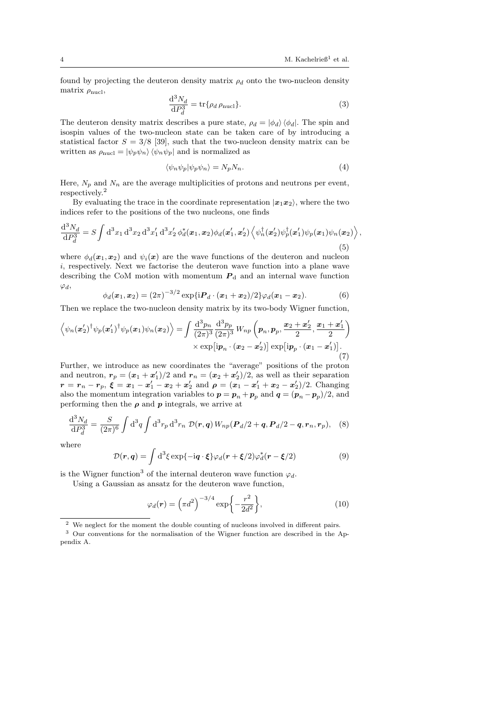found by projecting the deuteron density matrix  $\rho_d$  onto the two-nucleon density matrix  $\rho_{\text{nucl}}$ ,

$$
\frac{\mathrm{d}^3 N_d}{\mathrm{d} P_d^3} = \text{tr}\{\rho_d \,\rho_{\text{nucl}}\}.\tag{3}
$$

The deuteron density matrix describes a pure state,  $\rho_d = |\phi_d\rangle \langle \phi_d|$ . The spin and isospin values of the two-nucleon state can be taken care of by introducing a statistical factor  $S = 3/8$  [39], such that the two-nucleon density matrix can be written as  $\rho_{\text{nucl}} = |\psi_p \psi_n \rangle \langle \psi_n \psi_p |$  and is normalized as

$$
\langle \psi_n \psi_p | \psi_p \psi_n \rangle = N_p N_n. \tag{4}
$$

Here,  $N_p$  and  $N_n$  are the average multiplicities of protons and neutrons per event, respectively.<sup>2</sup>

By evaluating the trace in the coordinate representation  $|x_1x_2\rangle$ , where the two indices refer to the positions of the two nucleons, one finds

$$
\frac{\mathrm{d}^3 N_d}{\mathrm{d} P_d^3} = S \int \mathrm{d}^3 x_1 \, \mathrm{d}^3 x_2 \, \mathrm{d}^3 x_1' \, \mathrm{d}^3 x_2' \, \phi_d^*(\boldsymbol{x}_1, \boldsymbol{x}_2) \phi_d(\boldsymbol{x}_1', \boldsymbol{x}_2') \left\langle \psi_n^\dagger(\boldsymbol{x}_2') \psi_p^\dagger(\boldsymbol{x}_1') \psi_p(\boldsymbol{x}_1) \psi_n(\boldsymbol{x}_2) \right\rangle,\tag{5}
$$

where  $\phi_d(\mathbf{x}_1, \mathbf{x}_2)$  and  $\psi_i(\mathbf{x})$  are the wave functions of the deuteron and nucleon i, respectively. Next we factorise the deuteron wave function into a plane wave describing the CoM motion with momentum  $P_d$  and an internal wave function  $\varphi_d$ ,

$$
\phi_d(\boldsymbol{x}_1, \boldsymbol{x}_2) = (2\pi)^{-3/2} \exp\{i \boldsymbol{P}_d \cdot (\boldsymbol{x}_1 + \boldsymbol{x}_2)/2\} \varphi_d(\boldsymbol{x}_1 - \boldsymbol{x}_2). \tag{6}
$$

Then we replace the two-nucleon density matrix by its two-body Wigner function,

$$
\left\langle \psi_n(\boldsymbol{x}_2')^\dagger \psi_p(\boldsymbol{x}_1')^\dagger \psi_p(\boldsymbol{x}_1) \psi_n(\boldsymbol{x}_2) \right\rangle = \int \frac{\mathrm{d}^3 p_n}{(2\pi)^3} \frac{\mathrm{d}^3 p_p}{(2\pi)^3} W_{np} \left( \boldsymbol{p}_n, \boldsymbol{p}_p, \frac{\boldsymbol{x}_2 + \boldsymbol{x}_2'}{2}, \frac{\boldsymbol{x}_1 + \boldsymbol{x}_1'}{2} \right) \times \exp\left[ \mathrm{i} \boldsymbol{p}_n \cdot (\boldsymbol{x}_2 - \boldsymbol{x}_2') \right] \exp\left[ \mathrm{i} \boldsymbol{p}_p \cdot (\boldsymbol{x}_1 - \boldsymbol{x}_1') \right]. \tag{7}
$$

Further, we introduce as new coordinates the "average" positions of the proton and neutron,  $r_p = (x_1 + x_1')/2$  and  $r_n = (x_2 + x_2')/2$ , as well as their separation  $\bm{r} = \bm{r}_n - \bm{r}_p, \ \bm{\xi} = \bm{x}_1 - \bm{x}_1' - \bm{x}_2 + \bm{x}_2' \ \ \text{and} \ \ \bm{\rho} = (\bm{x}_1 - \bm{x}_1' + \bm{x}_2 - \bm{x}_2')/2.$  Changing also the momentum integration variables to  $p = p_n + p_p$  and  $q = (p_n - p_p)/2$ , and performing then the  $\rho$  and  $p$  integrals, we arrive at

$$
\frac{\mathrm{d}^3 N_d}{\mathrm{d} P_d^3} = \frac{S}{(2\pi)^6} \int \mathrm{d}^3 q \int \mathrm{d}^3 r_p \, \mathrm{d}^3 r_n \ \mathcal{D}(\mathbf{r}, \mathbf{q}) \, W_{np}(\mathbf{P}_d/2 + \mathbf{q}, \mathbf{P}_d/2 - \mathbf{q}, \mathbf{r}_n, \mathbf{r}_p), \tag{8}
$$

where

$$
\mathcal{D}(\mathbf{r}, \mathbf{q}) = \int d^3 \xi \exp\{-i\mathbf{q} \cdot \xi\} \varphi_d(\mathbf{r} + \xi/2) \varphi_d^*(\mathbf{r} - \xi/2)
$$
(9)

is the Wigner function<sup>3</sup> of the internal deuteron wave function  $\varphi_d$ .

Using a Gaussian as ansatz for the deuteron wave function,

$$
\varphi_d(\mathbf{r}) = \left(\pi d^2\right)^{-3/4} \exp\left\{-\frac{r^2}{2d^2}\right\},\tag{10}
$$

 $^{\rm 2}$  We neglect for the moment the double counting of nucleons involved in different pairs.

<sup>3</sup> Our conventions for the normalisation of the Wigner function are described in the Appendix A.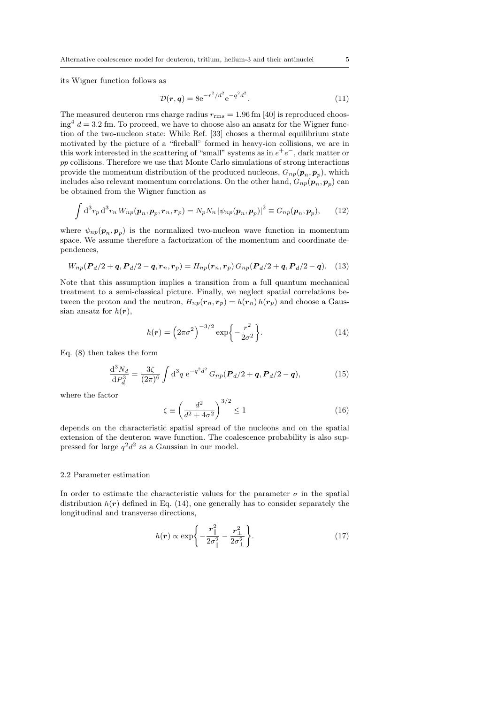its Wigner function follows as

$$
\mathcal{D}(r,q) = 8e^{-r^2/d^2} e^{-q^2 d^2}.
$$
\n(11)

The measured deuteron rms charge radius  $r_{\rm rms} = 1.96$  fm [40] is reproduced choos- $\log^4 d = 3.2$  fm. To proceed, we have to choose also an ansatz for the Wigner function of the two-nucleon state: While Ref. [33] choses a thermal equilibrium state motivated by the picture of a "fireball" formed in heavy-ion collisions, we are in this work interested in the scattering of "small" systems as in  $e^+e^-$ , dark matter or pp collisions. Therefore we use that Monte Carlo simulations of strong interactions provide the momentum distribution of the produced nucleons,  $G_{np}(\boldsymbol{p}_n, \boldsymbol{p}_p)$ , which includes also relevant momentum correlations. On the other hand,  $G_{np}(\boldsymbol{p}_n, \boldsymbol{p}_p)$  can be obtained from the Wigner function as

$$
\int d^3r_p d^3r_n W_{np}(\boldsymbol{p}_n, \boldsymbol{p}_p, \boldsymbol{r}_n, \boldsymbol{r}_p) = N_p N_n |\psi_{np}(\boldsymbol{p}_n, \boldsymbol{p}_p)|^2 \equiv G_{np}(\boldsymbol{p}_n, \boldsymbol{p}_p), \qquad (12)
$$

where  $\psi_{np}(\mathbf{p}_n, \mathbf{p}_p)$  is the normalized two-nucleon wave function in momentum space. We assume therefore a factorization of the momentum and coordinate dependences,

$$
W_{np}(\boldsymbol{P}_d/2 + \boldsymbol{q}, \boldsymbol{P}_d/2 - \boldsymbol{q}, \boldsymbol{r}_n, \boldsymbol{r}_p) = H_{np}(\boldsymbol{r}_n, \boldsymbol{r}_p) \, G_{np}(\boldsymbol{P}_d/2 + \boldsymbol{q}, \boldsymbol{P}_d/2 - \boldsymbol{q}). \tag{13}
$$

Note that this assumption implies a transition from a full quantum mechanical treatment to a semi-classical picture. Finally, we neglect spatial correlations between the proton and the neutron,  $H_{np}(\mathbf{r}_n, \mathbf{r}_p) = h(\mathbf{r}_n) h(\mathbf{r}_p)$  and choose a Gaussian ansatz for  $h(r)$ ,

$$
h(\mathbf{r}) = \left(2\pi\sigma^2\right)^{-3/2} \exp\left\{-\frac{r^2}{2\sigma^2}\right\}.
$$
 (14)

Eq. (8) then takes the form

$$
\frac{\mathrm{d}^3 N_d}{\mathrm{d} P_d^3} = \frac{3\zeta}{(2\pi)^6} \int \mathrm{d}^3 q \, \mathrm{e}^{-q^2 d^2} \, G_{np}(\mathbf{P}_d/2 + \mathbf{q}, \mathbf{P}_d/2 - \mathbf{q}),\tag{15}
$$

where the factor

$$
\zeta \equiv \left(\frac{d^2}{d^2 + 4\sigma^2}\right)^{3/2} \le 1\tag{16}
$$

depends on the characteristic spatial spread of the nucleons and on the spatial extension of the deuteron wave function. The coalescence probability is also suppressed for large  $q^2d^2$  as a Gaussian in our model.

# 2.2 Parameter estimation

In order to estimate the characteristic values for the parameter  $\sigma$  in the spatial distribution  $h(r)$  defined in Eq. (14), one generally has to consider separately the longitudinal and transverse directions,

$$
h(\mathbf{r}) \propto \exp\left\{-\frac{\mathbf{r}_{\parallel}^2}{2\sigma_{\parallel}^2} - \frac{\mathbf{r}_{\perp}^2}{2\sigma_{\perp}^2}\right\}.
$$
 (17)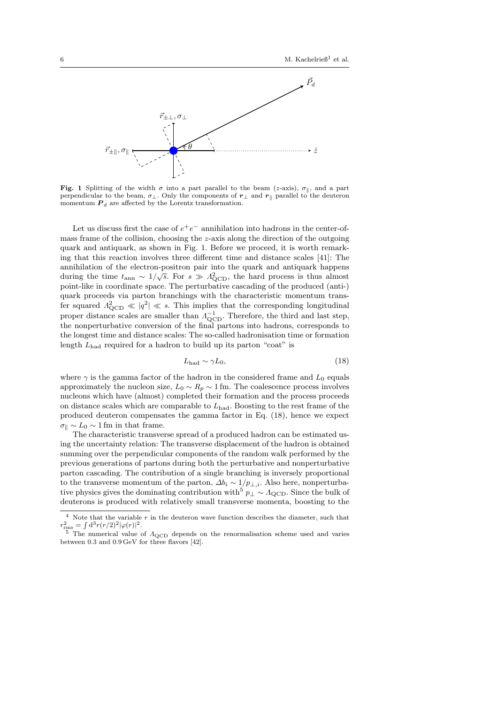

Fig. 1 Splitting of the width  $\sigma$  into a part parallel to the beam (z-axis),  $\sigma_{\parallel}$ , and a part perpendicular to the beam,  $\sigma_{\perp}$ . Only the components of  $r_{\perp}$  and  $r_{\parallel}$  parallel to the deuteron momentum  $P_d$  are affected by the Lorentz transformation.

Let us discuss first the case of  $e^+e^-$  annihilation into hadrons in the center-ofmass frame of the collision, choosing the z-axis along the direction of the outgoing quark and antiquark, as shown in Fig. 1. Before we proceed, it is worth remarking that this reaction involves three different time and distance scales [41]: The annihilation of the electron-positron pair into the quark and antiquark happens during the time  $t_{\text{ann}} \sim 1/\sqrt{s}$ . For  $s \gg \Lambda_{\text{QCD}}^2$ , the hard process is thus almost point-like in coordinate space. The perturbative cascading of the produced (anti-) quark proceeds via parton branchings with the characteristic momentum transfer squared  $\Lambda_{\text{QCD}}^2 \ll |q^2| \ll s$ . This implies that the corresponding longitudinal proper distance scales are smaller than  $\Lambda_{\text{QCD}}^{-1}$ . Therefore, the third and last step, the nonperturbative conversion of the final partons into hadrons, corresponds to the longest time and distance scales: The so-called hadronisation time or formation length  $L_{\text{had}}$  required for a hadron to build up its parton "coat" is

$$
L_{\rm had} \sim \gamma L_0,\tag{18}
$$

where  $\gamma$  is the gamma factor of the hadron in the considered frame and  $L_0$  equals approximately the nucleon size,  $L_0 \sim R_p \sim 1$  fm. The coalescence process involves nucleons which have (almost) completed their formation and the process proceeds on distance scales which are comparable to  $L_{\text{had}}$ . Boosting to the rest frame of the produced deuteron compensates the gamma factor in Eq. (18), hence we expect  $\sigma_{\parallel} \sim L_0 \sim 1$  fm in that frame.

The characteristic transverse spread of a produced hadron can be estimated using the uncertainty relation: The transverse displacement of the hadron is obtained summing over the perpendicular components of the random walk performed by the previous generations of partons during both the perturbative and nonperturbative parton cascading. The contribution of a single branching is inversely proportional to the transverse momentum of the parton,  $\Delta b_i \sim 1/p_{\perp,i}$ . Also here, nonperturbative physics gives the dominating contribution with<sup>5</sup>  $p_{\perp} \sim \Lambda_{\rm QCD}$ . Since the bulk of deuterons is produced with relatively small transverse momenta, boosting to the

 $^4\,$  Note that the variable  $r$  in the deuteron wave function describes the diameter, such that  $r_{\text{rms}}^2 = \int d^3r (r/2)^2 |\varphi(r)|^2.$ 

The numerical value of  $\Lambda_{\rm QCD}$  depends on the renormalisation scheme used and varies between 0.3 and 0.9 GeV for three flavors [42].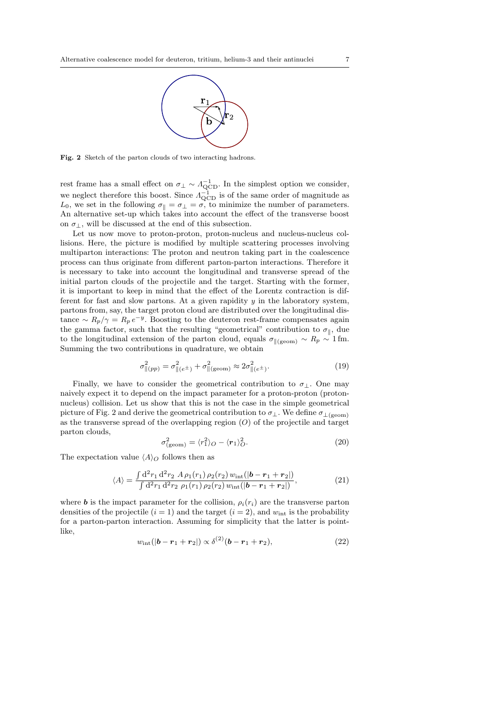

Fig. 2 Sketch of the parton clouds of two interacting hadrons.

rest frame has a small effect on  $\sigma_{\perp} \sim \Lambda_{\text{QCD}}^{-1}$ . In the simplest option we consider, we neglect therefore this boost. Since  $\Lambda_{\text{QCD}}^{-1}$  is of the same order of magnitude as  $L_0$ , we set in the following  $\sigma_{\parallel} = \sigma_{\perp} = \sigma$ , to minimize the number of parameters. An alternative set-up which takes into account the effect of the transverse boost on  $\sigma_{\perp}$ , will be discussed at the end of this subsection.

Let us now move to proton-proton, proton-nucleus and nucleus-nucleus collisions. Here, the picture is modified by multiple scattering processes involving multiparton interactions: The proton and neutron taking part in the coalescence process can thus originate from different parton-parton interactions. Therefore it is necessary to take into account the longitudinal and transverse spread of the initial parton clouds of the projectile and the target. Starting with the former, it is important to keep in mind that the effect of the Lorentz contraction is different for fast and slow partons. At a given rapidity  $y$  in the laboratory system, partons from, say, the target proton cloud are distributed over the longitudinal distance  $\sim R_p/\gamma = R_p e^{-y}$ . Boosting to the deuteron rest-frame compensates again the gamma factor, such that the resulting "geometrical" contribution to  $\sigma_{\parallel}$ , due to the longitudinal extension of the parton cloud, equals  $\sigma_{\parallel (geom)} \sim R_p \sim 1$  fm. Summing the two contributions in quadrature, we obtain

$$
\sigma_{\|(pp)}^2 = \sigma_{\|(e^{\pm})}^2 + \sigma_{\|(geom)}^2 \approx 2\sigma_{\|(e^{\pm})}^2.
$$
 (19)

Finally, we have to consider the geometrical contribution to  $\sigma_{\perp}$ . One may naively expect it to depend on the impact parameter for a proton-proton (protonnucleus) collision. Let us show that this is not the case in the simple geometrical picture of Fig. 2 and derive the geometrical contribution to  $\sigma_{\perp}$ . We define  $\sigma_{\perp(\text{geom})}$ as the transverse spread of the overlapping region  $(O)$  of the projectile and target parton clouds,

$$
\sigma_{(\text{geom})}^2 = \langle r_1^2 \rangle_O - \langle r_1 \rangle_O^2. \tag{20}
$$

The expectation value  $\langle A \rangle$  follows then as

$$
\langle A \rangle = \frac{\int d^2 r_1 d^2 r_2 \, A \, \rho_1(r_1) \, \rho_2(r_2) \, w_{\rm int}(|\boldsymbol{b} - \boldsymbol{r}_1 + \boldsymbol{r}_2|)}{\int d^2 r_1 \, d^2 r_2 \, \rho_1(r_1) \, \rho_2(r_2) \, w_{\rm int}(|\boldsymbol{b} - \boldsymbol{r}_1 + \boldsymbol{r}_2|)},\tag{21}
$$

where **b** is the impact parameter for the collision,  $\rho_i(r_i)$  are the transverse parton densities of the projectile  $(i = 1)$  and the target  $(i = 2)$ , and  $w_{int}$  is the probability for a parton-parton interaction. Assuming for simplicity that the latter is pointlike,

$$
w_{\rm int}(|b - r_1 + r_2|) \propto \delta^{(2)}(b - r_1 + r_2), \tag{22}
$$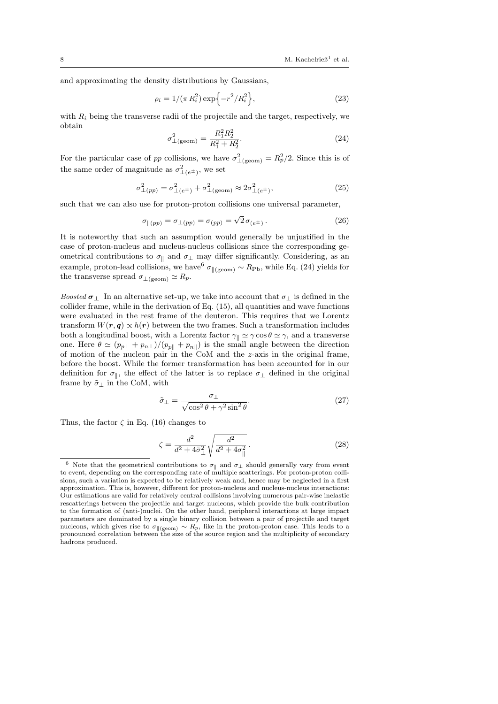and approximating the density distributions by Gaussians,

$$
\rho_i = 1/(\pi R_i^2) \exp\{-r^2/R_i^2\},\tag{23}
$$

with  $R_i$  being the transverse radii of the projectile and the target, respectively, we obtain

$$
\sigma_{\perp(\text{geom})}^2 = \frac{R_1^2 R_2^2}{R_1^2 + R_2^2}.\tag{24}
$$

For the particular case of pp collisions, we have  $\sigma_{\perp(\text{geom})}^2 = R_p^2/2$ . Since this is of the same order of magnitude as  $\sigma_{\perp(e^{\pm})}^2$ , we set

$$
\sigma_{\perp(pp)}^2 = \sigma_{\perp(e^{\pm})}^2 + \sigma_{\perp(\text{geom})}^2 \approx 2\sigma_{\perp(e^{\pm})}^2,\tag{25}
$$

such that we can also use for proton-proton collisions one universal parameter,

$$
\sigma_{\parallel (pp)} = \sigma_{\perp (pp)} = \sigma_{(pp)} = \sqrt{2} \,\sigma_{(e^{\pm})} \,. \tag{26}
$$

It is noteworthy that such an assumption would generally be unjustified in the case of proton-nucleus and nucleus-nucleus collisions since the corresponding geometrical contributions to  $\sigma_{\parallel}$  and  $\sigma_{\perp}$  may differ significantly. Considering, as an example, proton-lead collisions, we have  $^6\sigma_{\parallel\rm (geom)}\sim R_{\rm Pb},$  while Eq. (24) yields for the transverse spread  $\sigma_{\perp (geom)} \simeq R_p$ .

Boosted  $\sigma_{\perp}$  In an alternative set-up, we take into account that  $\sigma_{\perp}$  is defined in the collider frame, while in the derivation of Eq. (15), all quantities and wave functions were evaluated in the rest frame of the deuteron. This requires that we Lorentz transform  $W(r, q) \propto h(r)$  between the two frames. Such a transformation includes both a longitudinal boost, with a Lorentz factor  $\gamma_{\parallel} \simeq \gamma \cos \theta \simeq \gamma$ , and a transverse one. Here  $\theta \simeq (p_{p\perp} + p_{n\perp})/(p_{p\parallel} + p_{n\parallel})$  is the small angle between the direction of motion of the nucleon pair in the CoM and the z-axis in the original frame, before the boost. While the former transformation has been accounted for in our definition for  $\sigma_{\parallel}$ , the effect of the latter is to replace  $\sigma_{\perp}$  defined in the original frame by  $\tilde{\sigma}_{\perp}$  in the CoM, with

$$
\tilde{\sigma}_{\perp} = \frac{\sigma_{\perp}}{\sqrt{\cos^2 \theta + \gamma^2 \sin^2 \theta}}.\tag{27}
$$

Thus, the factor  $\zeta$  in Eq. (16) changes to

$$
\zeta = \frac{d^2}{d^2 + 4\tilde{\sigma}_{\perp}^2} \sqrt{\frac{d^2}{d^2 + 4\sigma_{\parallel}^2}}.
$$
\n(28)

Note that the geometrical contributions to  $\sigma_{\parallel}$  and  $\sigma_{\perp}$  should generally vary from event to event, depending on the corresponding rate of multiple scatterings. For proton-proton collisions, such a variation is expected to be relatively weak and, hence may be neglected in a first approximation. This is, however, different for proton-nucleus and nucleus-nucleus interactions: Our estimations are valid for relatively central collisions involving numerous pair-wise inelastic rescatterings between the projectile and target nucleons, which provide the bulk contribution to the formation of (anti-)nuclei. On the other hand, peripheral interactions at large impact parameters are dominated by a single binary collision between a pair of projectile and target nucleons, which gives rise to  $\sigma_{\parallel (geom)} \sim R_p$ , like in the proton-proton case. This leads to a pronounced correlation between the size of the source region and the multiplicity of secondary hadrons produced.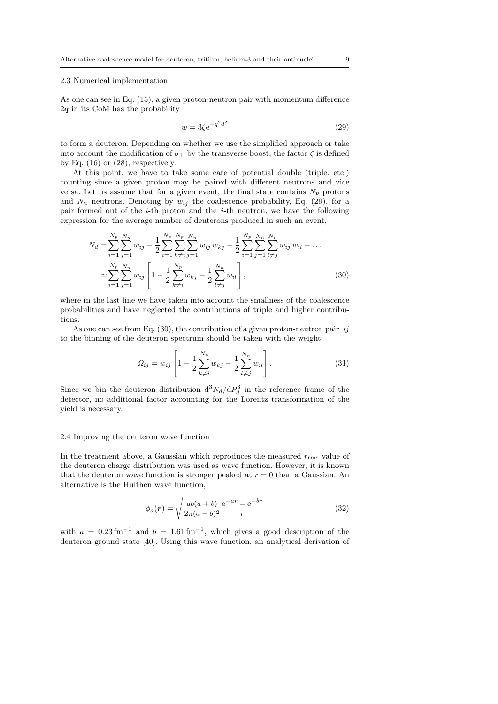#### 2.3 Numerical implementation

As one can see in Eq. (15), a given proton-neutron pair with momentum difference  $2q$  in its CoM has the probability

$$
w = 3\zeta e^{-q^2 d^2} \tag{29}
$$

to form a deuteron. Depending on whether we use the simplified approach or take into account the modification of  $\sigma_{\perp}$  by the transverse boost, the factor  $\zeta$  is defined by Eq.  $(16)$  or  $(28)$ , respectively.

At this point, we have to take some care of potential double (triple, etc.) counting since a given proton may be paired with different neutrons and vice versa. Let us assume that for a given event, the final state contains  $N_p$  protons and  $N_n$  neutrons. Denoting by  $w_{ij}$  the coalescence probability, Eq. (29), for a pair formed out of the  $i$ -th proton and the  $j$ -th neutron, we have the following expression for the average number of deuterons produced in such an event,

$$
N_d = \sum_{i=1}^{N_p} \sum_{j=1}^{N_n} w_{ij} - \frac{1}{2} \sum_{i=1}^{N_p} \sum_{k \neq i}^{N_p} \sum_{j=1}^{N_n} w_{ij} w_{kj} - \frac{1}{2} \sum_{i=1}^{N_p} \sum_{j=1}^{N_n} \sum_{l \neq j}^{N_n} w_{ij} w_{il} - \dots
$$
  

$$
\approx \sum_{i=1}^{N_p} \sum_{j=1}^{N_n} w_{ij} \left[ 1 - \frac{1}{2} \sum_{k \neq i}^{N_p} w_{kj} - \frac{1}{2} \sum_{l \neq j}^{N_n} w_{il} \right],
$$
 (30)

where in the last line we have taken into account the smallness of the coalescence probabilities and have neglected the contributions of triple and higher contributions.

As one can see from Eq.  $(30)$ , the contribution of a given proton-neutron pair *ij* to the binning of the deuteron spectrum should be taken with the weight,

$$
\Omega_{ij} = w_{ij} \left[ 1 - \frac{1}{2} \sum_{k \neq i}^{N_p} w_{kj} - \frac{1}{2} \sum_{l \neq j}^{N_n} w_{il} \right].
$$
\n(31)

Since we bin the deuteron distribution  $d^3N_d/dP_d^3$  in the reference frame of the detector, no additional factor accounting for the Lorentz transformation of the yield is necessary.

### 2.4 Improving the deuteron wave function

In the treatment above, a Gaussian which reproduces the measured  $r_{\rm rms}$  value of the deuteron charge distribution was used as wave function. However, it is known that the deuteron wave function is stronger peaked at  $r = 0$  than a Gaussian. An alternative is the Hulthen wave function,

$$
\phi_d(r) = \sqrt{\frac{ab(a+b)}{2\pi(a-b)^2}} \frac{e^{-ar} - e^{-br}}{r}
$$
\n(32)

with  $a = 0.23 \,\mathrm{fm}^{-1}$  and  $b = 1.61 \,\mathrm{fm}^{-1}$ , which gives a good description of the deuteron ground state [40]. Using this wave function, an analytical derivation of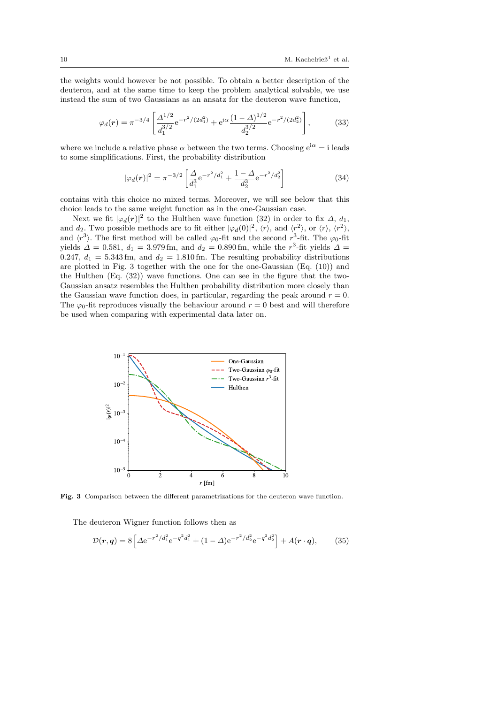the weights would however be not possible. To obtain a better description of the deuteron, and at the same time to keep the problem analytical solvable, we use instead the sum of two Gaussians as an ansatz for the deuteron wave function,

$$
\varphi_d(\mathbf{r}) = \pi^{-3/4} \left[ \frac{\Delta^{1/2}}{d_1^{3/2}} e^{-r^2/(2d_1^2)} + e^{i\alpha} \frac{(1-\Delta)^{1/2}}{d_2^{3/2}} e^{-r^2/(2d_2^2)} \right],\tag{33}
$$

where we include a relative phase  $\alpha$  between the two terms. Choosing  $e^{i\alpha} = i$  leads to some simplifications. First, the probability distribution

$$
|\varphi_d(\mathbf{r})|^2 = \pi^{-3/2} \left[ \frac{\Delta}{d_1^3} e^{-r^2/d_1^2} + \frac{1-\Delta}{d_2^3} e^{-r^2/d_2^2} \right]
$$
(34)

contains with this choice no mixed terms. Moreover, we will see below that this choice leads to the same weight function as in the one-Gaussian case.

Next we fit  $|\varphi_d(\boldsymbol{r})|^2$  to the Hulthen wave function (32) in order to fix  $\Delta$ ,  $d_1$ , and  $d_2$ . Two possible methods are to fit either  $|\varphi_d(0)|^2$ ,  $\langle r \rangle$ , and  $\langle r^2 \rangle$ , or  $\langle r \rangle$ ,  $\langle r^2 \rangle$ , and  $\langle r^3 \rangle$ . The first method will be called  $\varphi_0$ -fit and the second  $r^3$ -fit. The  $\varphi_0$ -fit yields  $\Delta = 0.581$ ,  $d_1 = 3.979$  fm, and  $d_2 = 0.890$  fm, while the  $r^3$ -fit yields  $\Delta =$ 0.247,  $d_1 = 5.343$  fm, and  $d_2 = 1.810$  fm. The resulting probability distributions are plotted in Fig. 3 together with the one for the one-Gaussian (Eq. (10)) and the Hulthen (Eq. (32)) wave functions. One can see in the figure that the two-Gaussian ansatz resembles the Hulthen probability distribution more closely than the Gaussian wave function does, in particular, regarding the peak around  $r = 0$ . The  $\varphi_0$ -fit reproduces visually the behaviour around  $r = 0$  best and will therefore be used when comparing with experimental data later on.



Fig. 3 Comparison between the different parametrizations for the deuteron wave function.

The deuteron Wigner function follows then as

$$
\mathcal{D}(\mathbf{r}, \mathbf{q}) = 8 \left[ \Delta e^{-r^2/d_1^2} e^{-q^2 d_1^2} + (1 - \Delta) e^{-r^2/d_2^2} e^{-q^2 d_2^2} \right] + A(\mathbf{r} \cdot \mathbf{q}), \tag{35}
$$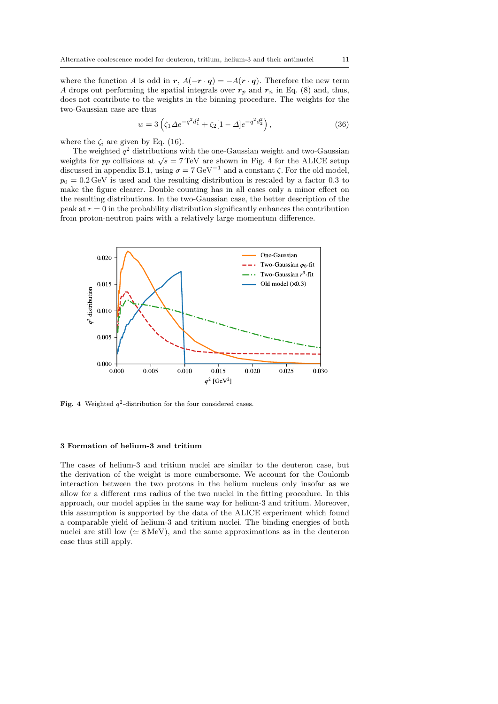where the function A is odd in r,  $A(-r \cdot q) = -A(r \cdot q)$ . Therefore the new term A drops out performing the spatial integrals over  $r_p$  and  $r_n$  in Eq. (8) and, thus, does not contribute to the weights in the binning procedure. The weights for the two-Gaussian case are thus

$$
w = 3\left(\zeta_1 \Delta e^{-q^2 d_1^2} + \zeta_2 [1 - \Delta] e^{-q^2 d_2^2}\right),\tag{36}
$$

where the  $\zeta_i$  are given by Eq. (16).

The weighted  $q^2$  distributions with the one-Gaussian weight and two-Gaussian weights for pp collisions at  $\sqrt{s} = 7$  TeV are shown in Fig. 4 for the ALICE setup discussed in appendix B.1, using  $\sigma = 7 \,\text{GeV}^{-1}$  and a constant  $\zeta$ . For the old model,  $p_0 = 0.2 \,\text{GeV}$  is used and the resulting distribution is rescaled by a factor 0.3 to make the figure clearer. Double counting has in all cases only a minor effect on the resulting distributions. In the two-Gaussian case, the better description of the peak at  $r = 0$  in the probability distribution significantly enhances the contribution from proton-neutron pairs with a relatively large momentum difference.



Fig. 4 Weighted  $q^2$ -distribution for the four considered cases.

## 3 Formation of helium-3 and tritium

The cases of helium-3 and tritium nuclei are similar to the deuteron case, but the derivation of the weight is more cumbersome. We account for the Coulomb interaction between the two protons in the helium nucleus only insofar as we allow for a different rms radius of the two nuclei in the fitting procedure. In this approach, our model applies in the same way for helium-3 and tritium. Moreover, this assumption is supported by the data of the ALICE experiment which found a comparable yield of helium-3 and tritium nuclei. The binding energies of both nuclei are still low ( $\simeq 8 \,\text{MeV}$ ), and the same approximations as in the deuteron case thus still apply.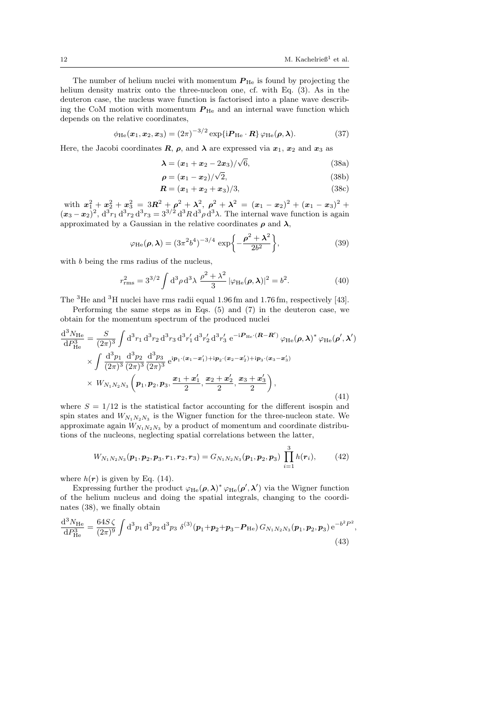The number of helium nuclei with momentum  $P_{\text{He}}$  is found by projecting the helium density matrix onto the three-nucleon one, cf. with Eq. (3). As in the deuteron case, the nucleus wave function is factorised into a plane wave describing the CoM motion with momentum  $P_{\text{He}}$  and an internal wave function which depends on the relative coordinates,

$$
\phi_{\mathrm{He}}(\boldsymbol{x}_1, \boldsymbol{x}_2, \boldsymbol{x}_3) = (2\pi)^{-3/2} \exp\{i \boldsymbol{P}_{\mathrm{He}} \cdot \boldsymbol{R}\} \varphi_{\mathrm{He}}(\boldsymbol{\rho}, \boldsymbol{\lambda}). \tag{37}
$$

Here, the Jacobi coordinates  $\mathbf{R}$ ,  $\rho$ , and  $\lambda$  are expressed via  $x_1, x_2$  and  $x_3$  as

$$
\lambda = (x_1 + x_2 - 2x_3)/\sqrt{6},
$$
\n(38a)

$$
\rho = (x_1 - x_2)/\sqrt{2},\tag{38b}
$$

$$
R = (x_1 + x_2 + x_3)/3, \tag{38c}
$$

with  $x_1^2 + x_2^2 + x_3^2 = 3R^2 + \rho^2 + \lambda^2$ ,  $\rho^2 + \lambda^2 = (x_1 - x_2)^2 + (x_1 - x_3)^2 +$  $(x_3-x_2)^2$ ,  $d^3r_1 d^3r_2 d^3r_3 = 3^{3/2} d^3R d^3p d^3\lambda$ . The internal wave function is again approximated by a Gaussian in the relative coordinates  $\rho$  and  $\lambda$ ,

$$
\varphi_{\text{He}}(\rho, \lambda) = (3\pi^2 b^4)^{-3/4} \exp\left\{-\frac{\rho^2 + \lambda^2}{2b^2}\right\},
$$
\n(39)

with *b* being the rms radius of the nucleus,

$$
r_{\rm rms}^2 = 3^{3/2} \int d^3 \rho \, d^3 \lambda \, \frac{\rho^2 + \lambda^2}{3} \left| \varphi_{\rm He}(\rho, \lambda) \right|^2 = b^2. \tag{40}
$$

The <sup>3</sup>He and <sup>3</sup>H nuclei have rms radii equal 1.96 fm and 1.76 fm, respectively [43].

Performing the same steps as in Eqs.  $(5)$  and  $(7)$  in the deuteron case, we obtain for the momentum spectrum of the produced nuclei

$$
\frac{d^{3}N_{\text{He}}}{dP_{\text{He}}^{3}} = \frac{S}{(2\pi)^{3}} \int d^{3}r_{1} d^{3}r_{2} d^{3}r_{3} d^{3}r'_{1} d^{3}r'_{2} d^{3}r'_{3} e^{-i\mathbf{P}_{\text{He}} \cdot (\mathbf{R} - \mathbf{R}')} \varphi_{\text{He}}(\boldsymbol{\rho}, \boldsymbol{\lambda})^{*} \varphi_{\text{He}}(\boldsymbol{\rho}', \boldsymbol{\lambda}')
$$
\n
$$
\times \int \frac{d^{3}p_{1}}{(2\pi)^{3}} \frac{d^{3}p_{2}}{(2\pi)^{3}} \frac{d^{3}p_{3}}{(2\pi)^{3}} e^{i\mathbf{p}_{1} \cdot (\mathbf{x}_{1} - \mathbf{x}'_{1}) + i\mathbf{p}_{2} \cdot (\mathbf{x}_{2} - \mathbf{x}'_{2}) + i\mathbf{p}_{3} \cdot (\mathbf{x}_{3} - \mathbf{x}'_{3})}
$$
\n
$$
\times W_{N_{1}N_{2}N_{3}} \left(\mathbf{p}_{1}, \mathbf{p}_{2}, \mathbf{p}_{3}, \frac{\mathbf{x}_{1} + \mathbf{x}'_{1}}{2}, \frac{\mathbf{x}_{2} + \mathbf{x}'_{2}}{2}, \frac{\mathbf{x}_{3} + \mathbf{x}'_{3}}{2}\right), \tag{41}
$$

where  $S = 1/12$  is the statistical factor accounting for the different isospin and spin states and  $W_{N_1N_2N_3}$  is the Wigner function for the three-nucleon state. We approximate again  $W_{N_1N_2N_3}$  by a product of momentum and coordinate distributions of the nucleons, neglecting spatial correlations between the latter,

$$
W_{N_1N_2N_3}(\boldsymbol{p}_1,\boldsymbol{p}_2,\boldsymbol{p}_3,\boldsymbol{r}_1,\boldsymbol{r}_2,\boldsymbol{r}_3)=G_{N_1N_2N_3}(\boldsymbol{p}_1,\boldsymbol{p}_2,\boldsymbol{p}_3)\prod_{i=1}^3h(\boldsymbol{r}_i),\qquad(42)
$$

where  $h(r)$  is given by Eq. (14).

Expressing further the product  $\varphi_{\text{He}}(\rho, \lambda)^* \varphi_{\text{He}}(\rho', \lambda')$  via the Wigner function of the helium nucleus and doing the spatial integrals, changing to the coordinates (38), we finally obtain

$$
\frac{\mathrm{d}^{3}N_{\text{He}}}{\mathrm{d}P_{\text{He}}^{3}} = \frac{64S\,\zeta}{(2\pi)^{9}} \int \mathrm{d}^{3}p_{1} \,\mathrm{d}^{3}p_{2} \,\mathrm{d}^{3}p_{3} \,\delta^{(3)}(\boldsymbol{p}_{1} + \boldsymbol{p}_{2} + \boldsymbol{p}_{3} - \boldsymbol{P}_{\text{He}}) \,G_{N_{1}N_{2}N_{3}}(\boldsymbol{p}_{1}, \boldsymbol{p}_{2}, \boldsymbol{p}_{3}) \,\mathrm{e}^{-b^{2}P^{2}},\tag{43}
$$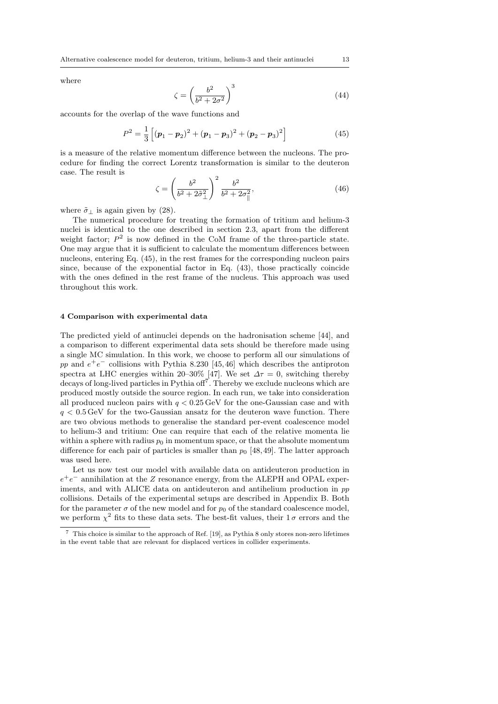where

$$
\zeta = \left(\frac{b^2}{b^2 + 2\sigma^2}\right)^3\tag{44}
$$

accounts for the overlap of the wave functions and

$$
P^{2} = \frac{1}{3} \left[ (\boldsymbol{p}_{1} - \boldsymbol{p}_{2})^{2} + (\boldsymbol{p}_{1} - \boldsymbol{p}_{3})^{2} + (\boldsymbol{p}_{2} - \boldsymbol{p}_{3})^{2} \right]
$$
(45)

is a measure of the relative momentum difference between the nucleons. The procedure for finding the correct Lorentz transformation is similar to the deuteron case. The result is

$$
\zeta = \left(\frac{b^2}{b^2 + 2\tilde{\sigma}_{\perp}^2}\right)^2 \frac{b^2}{b^2 + 2\sigma_{\parallel}^2},\tag{46}
$$

where  $\tilde{\sigma}_{\perp}$  is again given by (28).

The numerical procedure for treating the formation of tritium and helium-3 nuclei is identical to the one described in section 2.3, apart from the different weight factor;  $P^2$  is now defined in the CoM frame of the three-particle state. One may argue that it is sufficient to calculate the momentum differences between nucleons, entering Eq. (45), in the rest frames for the corresponding nucleon pairs since, because of the exponential factor in Eq. (43), those practically coincide with the ones defined in the rest frame of the nucleus. This approach was used throughout this work.

## 4 Comparison with experimental data

The predicted yield of antinuclei depends on the hadronisation scheme [44], and a comparison to different experimental data sets should be therefore made using a single MC simulation. In this work, we choose to perform all our simulations of pp and  $e^+e^-$  collisions with Pythia 8.230 [45,46] which describes the antiproton spectra at LHC energies within 20–30% [47]. We set  $\Delta \tau = 0$ , switching thereby decays of long-lived particles in Pythia off<sup>7</sup>. Thereby we exclude nucleons which are produced mostly outside the source region. In each run, we take into consideration all produced nucleon pairs with  $q < 0.25 \,\text{GeV}$  for the one-Gaussian case and with  $q < 0.5$  GeV for the two-Gaussian ansatz for the deuteron wave function. There are two obvious methods to generalise the standard per-event coalescence model to helium-3 and tritium: One can require that each of the relative momenta lie within a sphere with radius  $p_0$  in momentum space, or that the absolute momentum difference for each pair of particles is smaller than  $p_0$  [48, 49]. The latter approach was used here.

Let us now test our model with available data on antideuteron production in  $e^+e^-$  annihilation at the Z resonance energy, from the ALEPH and OPAL experiments, and with ALICE data on antideuteron and antihelium production in pp collisions. Details of the experimental setups are described in Appendix B. Both for the parameter  $\sigma$  of the new model and for  $p_0$  of the standard coalescence model, we perform  $\chi^2$  fits to these data sets. The best-fit values, their  $1\sigma$  errors and the

<sup>7</sup> This choice is similar to the approach of Ref. [19], as Pythia 8 only stores non-zero lifetimes in the event table that are relevant for displaced vertices in collider experiments.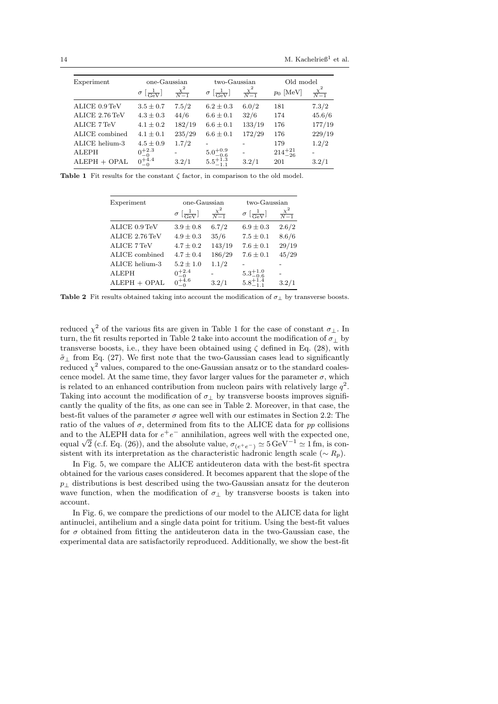| Experiment     | one-Gaussian                            |                      | two-Gaussian                            |                      | Old model         |                      |
|----------------|-----------------------------------------|----------------------|-----------------------------------------|----------------------|-------------------|----------------------|
|                | $\sigma\left[\frac{1}{\rm{GeV}}\right]$ | $\frac{\chi^2}{N-1}$ | $\sigma\left[\frac{1}{\rm{GeV}}\right]$ | $\frac{\chi^2}{N-1}$ | $p_0$ [MeV]       | $\frac{\chi^2}{N-1}$ |
| ALICE 0.9 TeV  | $3.5 \pm 0.7$                           | 7.5/2                | $6.2 \pm 0.3$                           | 6.0/2                | 181               | 7.3/2                |
| ALICE 2.76 TeV | $4.3 \pm 0.3$                           | 44/6                 | $6.6 \pm 0.1$                           | 32/6                 | 174               | 45.6/6               |
| ALICE 7 TeV    | $4.1 \pm 0.2$                           | 182/19               | $6.6 \pm 0.1$                           | 133/19               | 176               | 177/19               |
| ALICE combined | $4.1 \pm 0.1$                           | 235/29               | $6.6 \pm 0.1$                           | 172/29               | 176               | 229/19               |
| ALICE helium-3 | $4.5 \pm 0.9$                           | 1.7/2                |                                         |                      | 179               | 1.2/2                |
| <b>ALEPH</b>   | $0^{+2.3}_{-0}$                         |                      | $5.0^{+0.9}_{-0.6}$                     |                      | $214^{+21}_{-26}$ |                      |
| $ALEPH + OPAL$ | $0^{+4.4}_{-0}$                         | 3.2/1                | $5.5^{+1.3}_{-1.1}$                     | 3.2/1                | 201               | 3.2/1                |

Table 1 Fit results for the constant  $\zeta$  factor, in comparison to the old model.

| Experiment         | one-Gaussian                              |                      | two-Gaussian                               |                      |
|--------------------|-------------------------------------------|----------------------|--------------------------------------------|----------------------|
|                    | $\sigma\left[\frac{1}{\text{GeV}}\right]$ | $\frac{\chi^2}{N-1}$ | $\sigma\left[\frac{1}{\text{GeV}}\right]$  | $\frac{\chi^2}{N-1}$ |
| ALICE 0.9 TeV      | $3.9 \pm 0.8$                             | 6.7/2                | $6.9 \pm 0.3$                              | 2.6/2                |
| ALICE 2.76 TeV     | $4.9 \pm 0.3$                             | 35/6                 | $7.5 \pm 0.1$                              | 8.6/6                |
| <b>ALICE 7 TeV</b> | $4.7 \pm 0.2$                             | 143/19               | $7.6 \pm 0.1$                              | 29/19                |
| ALICE combined     | $4.7 \pm 0.4$                             | 186/29               | $7.6 \pm 0.1$                              | 45/29                |
| ALICE helium-3     | $5.2 \pm 1.0$                             | 1.1/2                |                                            |                      |
| <b>ALEPH</b>       | $0^{+2.4}_{-0}$                           |                      | $5.3^{+1.0}_{-0.6}$<br>$5.8^{+1.4}_{-1.1}$ |                      |
| $ALEPH + OPAL$     | $0^{+4.6}_{-0}$                           | 3.2/1                |                                            | 3.2/1                |

Table 2 Fit results obtained taking into account the modification of  $\sigma_{\perp}$  by transverse boosts.

reduced  $\chi^2$  of the various fits are given in Table 1 for the case of constant  $\sigma_{\perp}$ . In turn, the fit results reported in Table 2 take into account the modification of  $\sigma_{\perp}$  by transverse boosts, i.e., they have been obtained using  $\zeta$  defined in Eq. (28), with  $\tilde{\sigma}_{\perp}$  from Eq. (27). We first note that the two-Gaussian cases lead to significantly reduced  $\chi^2$  values, compared to the one-Gaussian ansatz or to the standard coalescence model. At the same time, they favor larger values for the parameter  $\sigma$ , which is related to an enhanced contribution from nucleon pairs with relatively large  $q^2$ . Taking into account the modification of  $\sigma_{\perp}$  by transverse boosts improves significantly the quality of the fits, as one can see in Table 2. Moreover, in that case, the best-fit values of the parameter  $\sigma$  agree well with our estimates in Section 2.2: The ratio of the values of  $\sigma$ , determined from fits to the ALICE data for pp collisions and to the ALEPH data for  $e^+e^-$  annihilation, agrees well with the expected one, equal  $\sqrt{2}$  (c.f. Eq. (26)), and the absolute value,  $\sigma_{(e^+e^-)} \simeq 5 \,\text{GeV}^{-1} \simeq 1 \,\text{fm}$ , is consistent with its interpretation as the characteristic hadronic length scale ( $\sim R_p$ ).

In Fig. 5, we compare the ALICE antideuteron data with the best-fit spectra obtained for the various cases considered. It becomes apparent that the slope of the  $p_{\perp}$  distributions is best described using the two-Gaussian ansatz for the deuteron wave function, when the modification of  $\sigma_{\perp}$  by transverse boosts is taken into account.

In Fig. 6, we compare the predictions of our model to the ALICE data for light antinuclei, antihelium and a single data point for tritium. Using the best-fit values for  $\sigma$  obtained from fitting the antideuteron data in the two-Gaussian case, the experimental data are satisfactorily reproduced. Additionally, we show the best-fit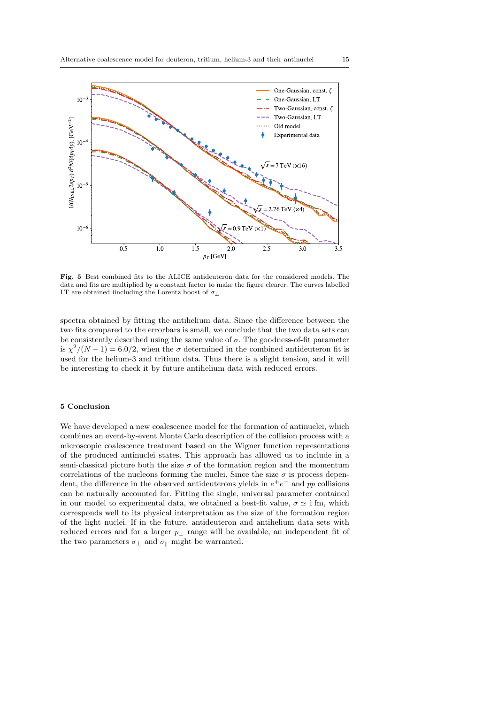

Fig. 5 Best combined fits to the ALICE antideuteron data for the considered models. The data and fits are multiplied by a constant factor to make the figure clearer. The curves labelled LT are obtained iincluding the Lorentz boost of  $\sigma_{\perp}$ .

spectra obtained by fitting the antihelium data. Since the difference between the two fits compared to the errorbars is small, we conclude that the two data sets can be consistently described using the same value of  $\sigma$ . The goodness-of-fit parameter is  $\chi^2/(N-1) = 6.0/2$ , when the  $\sigma$  determined in the combined antideuteron fit is used for the helium-3 and tritium data. Thus there is a slight tension, and it will be interesting to check it by future antihelium data with reduced errors.

# 5 Conclusion

We have developed a new coalescence model for the formation of antinuclei, which combines an event-by-event Monte Carlo description of the collision process with a microscopic coalescence treatment based on the Wigner function representations of the produced antinuclei states. This approach has allowed us to include in a semi-classical picture both the size  $\sigma$  of the formation region and the momentum correlations of the nucleons forming the nuclei. Since the size  $\sigma$  is process dependent, the difference in the observed antideuterons yields in  $e^+e^-$  and pp collisions can be naturally accounted for. Fitting the single, universal parameter contained in our model to experimental data, we obtained a best-fit value,  $\sigma \simeq 1$  fm, which corresponds well to its physical interpretation as the size of the formation region of the light nuclei. If in the future, antideuteron and antihelium data sets with reduced errors and for a larger  $p_{\perp}$  range will be available, an independent fit of the two parameters  $\sigma_{\perp}$  and  $\sigma_{\parallel}$  might be warranted.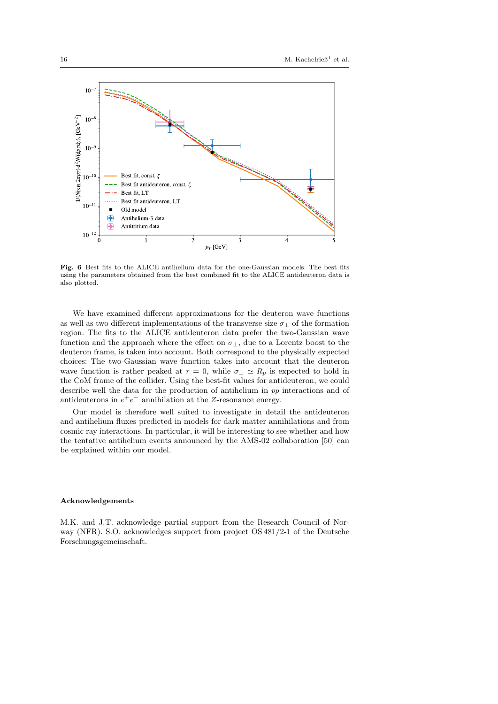

Fig. 6 Best fits to the ALICE antihelium data for the one-Gaussian models. The best fits using the parameters obtained from the best combined fit to the ALICE antideuteron data is also plotted.

We have examined different approximations for the deuteron wave functions as well as two different implementations of the transverse size  $\sigma_{\perp}$  of the formation region. The fits to the ALICE antideuteron data prefer the two-Gaussian wave function and the approach where the effect on  $\sigma_{\perp}$ , due to a Lorentz boost to the deuteron frame, is taken into account. Both correspond to the physically expected choices: The two-Gaussian wave function takes into account that the deuteron wave function is rather peaked at  $r = 0$ , while  $\sigma_{\perp} \simeq R_p$  is expected to hold in the CoM frame of the collider. Using the best-fit values for antideuteron, we could describe well the data for the production of antihelium in pp interactions and of antideuterons in  $e^+e^-$  annihilation at the Z-resonance energy.

Our model is therefore well suited to investigate in detail the antideuteron and antihelium fluxes predicted in models for dark matter annihilations and from cosmic ray interactions. In particular, it will be interesting to see whether and how the tentative antihelium events announced by the AMS-02 collaboration [50] can be explained within our model.

#### Acknowledgements

M.K. and J.T. acknowledge partial support from the Research Council of Norway (NFR). S.O. acknowledges support from project OS 481/2-1 of the Deutsche Forschungsgemeinschaft.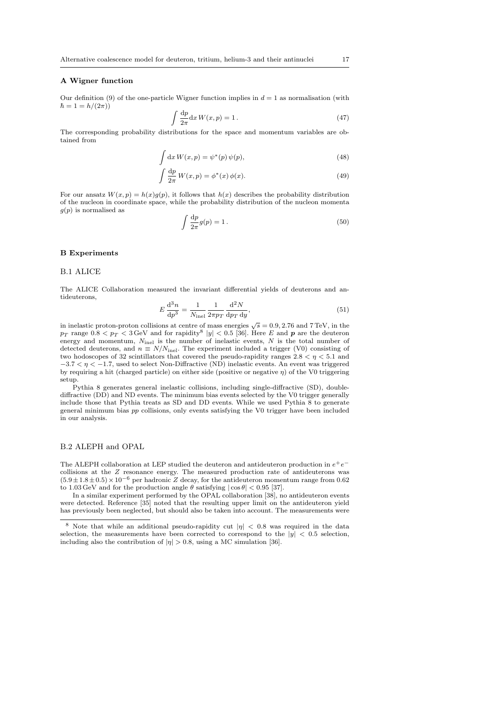#### A Wigner function

Our definition (9) of the one-particle Wigner function implies in  $d = 1$  as normalisation (with  $\hbar = 1 = h/(2\pi)$ 

$$
\int \frac{\mathrm{d}p}{2\pi} \mathrm{d}x \, W(x, p) = 1. \tag{47}
$$

The corresponding probability distributions for the space and momentum variables are obtained from

$$
\int dx W(x, p) = \psi^*(p) \psi(p), \qquad (48)
$$

$$
\int \frac{\mathrm{d}p}{2\pi} W(x, p) = \phi^*(x) \phi(x). \tag{49}
$$

For our ansatz  $W(x, p) = h(x)g(p)$ , it follows that  $h(x)$  describes the probability distribution of the nucleon in coordinate space, while the probability distribution of the nucleon momenta  $g(p)$  is normalised as

$$
\int \frac{\mathrm{d}p}{2\pi} g(p) = 1. \tag{50}
$$

#### B Experiments

## B.1 ALICE

The ALICE Collaboration measured the invariant differential yields of deuterons and antideuterons,

$$
E\,\frac{d^3n}{dp^3} = \frac{1}{N_{\text{inel}}} \frac{1}{2\pi p \, d p \, d y},\tag{51}
$$

in inelastic proton-proton collisions at centre of mass energies  $\sqrt{s} = 0.9, 2.76$  and 7 TeV, in the  $p_T$  range  $0.8 < p_T < 3$  GeV and for rapidity<sup>8</sup>  $|y| < 0.5$  [36]. Here E and p are the deuteron energy and momentum,  $N_{\text{inel}}$  is the number of inelastic events, N is the total number of detected deuterons, and  $n \equiv N/N_{\text{inel}}$ . The experiment included a trigger (V0) consisting of two hodoscopes of 32 scintillators that covered the pseudo-rapidity ranges  $2.8 < \eta < 5.1$  and  $-3.7 < n < -1.7$ , used to select Non-Diffractive (ND) inelastic events. An event was triggered by requiring a hit (charged particle) on either side (positive or negative  $\eta$ ) of the V0 triggering setup.

Pythia 8 generates general inelastic collisions, including single-diffractive (SD), doublediffractive (DD) and ND events. The minimum bias events selected by the V0 trigger generally include those that Pythia treats as SD and DD events. While we used Pythia 8 to generate general minimum bias pp collisions, only events satisfying the V0 trigger have been included in our analysis.

# B.2 ALEPH and OPAL

The ALEPH collaboration at LEP studied the deuteron and antideuteron production in  $e^+e^$ collisions at the Z resonance energy. The measured production rate of antideuterons was  $(5.9\pm1.8\pm0.5)\times10^{-6}$  per hadronic  $\overset{\sim}{Z}$  decay, for the antideuteron momentum range from 0.62 to 1.03 GeV and for the production angle  $\theta$  satisfying  $|\cos \theta|$  < 0.95 [37].

In a similar experiment performed by the OPAL collaboration [38], no antideuteron events were detected. Reference [35] noted that the resulting upper limit on the antideuteron yield has previously been neglected, but should also be taken into account. The measurements were

<sup>&</sup>lt;sup>8</sup> Note that while an additional pseudo-rapidity cut  $|\eta|$  < 0.8 was required in the data selection, the measurements have been corrected to correspond to the  $|y|$  < 0.5 selection, including also the contribution of  $|\eta| > 0.8$ , using a MC simulation [36].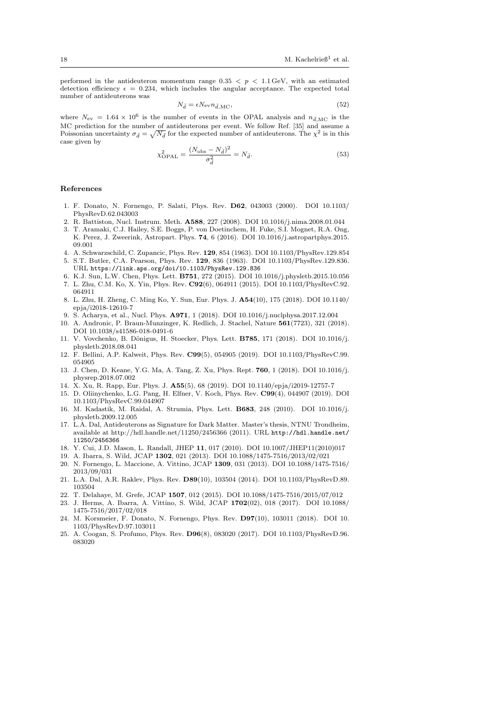performed in the antideuteron momentum range  $0.35 < p < 1.1$  GeV, with an estimated detection efficiency  $\epsilon = 0.234$ , which includes the angular acceptance. The expected total number of antideuterons was

$$
N_{\bar{d}} = \epsilon N_{\rm ev} n_{\bar{d},\rm MC},\tag{52}
$$

where  $N_{\rm ev} = 1.64 \times 10^6$  is the number of events in the OPAL analysis and  $n_{\bar{d},\rm MC}$  is the MC prediction for the number of antideuterons per event. We follow Ref. [35] and assume a Poissonian uncertainty  $\sigma_{\bar{d}} = \sqrt{N_{\bar{d}}}$  for the expected number of antideuterons. The  $\chi^2$  is in this case given by

$$
\chi_{\text{OPAL}}^2 = \frac{(N_{\text{obs}} - N_{\bar{d}})^2}{\sigma_{\bar{d}}^2} = N_{\bar{d}}.\tag{53}
$$

#### References

- 1. F. Donato, N. Fornengo, P. Salati, Phys. Rev. D62, 043003 (2000). DOI 10.1103/ PhysRevD.62.043003
- 2. R. Battiston, Nucl. Instrum. Meth. A588, 227 (2008). DOI 10.1016/j.nima.2008.01.044
- 3. T. Aramaki, C.J. Hailey, S.E. Boggs, P. von Doetinchem, H. Fuke, S.I. Mognet, R.A. Ong, K. Perez, J. Zweerink, Astropart. Phys. 74, 6 (2016). DOI 10.1016/j.astropartphys.2015. 09.001
- 4. A. Schwarzschild, C. Zupancic, Phys. Rev. 129, 854 (1963). DOI 10.1103/PhysRev.129.854
- 5. S.T. Butler, C.A. Pearson, Phys. Rev. 129, 836 (1963). DOI 10.1103/PhysRev.129.836. URL https://link.aps.org/doi/10.1103/PhysRev.129.836
- 6. K.J. Sun, L.W. Chen, Phys. Lett. B751, 272 (2015). DOI 10.1016/j.physletb.2015.10.056 7. L. Zhu, C.M. Ko, X. Yin, Phys. Rev. C92(6), 064911 (2015). DOI 10.1103/PhysRevC.92.
- 064911 8. L. Zhu, H. Zheng, C. Ming Ko, Y. Sun, Eur. Phys. J. A54(10), 175 (2018). DOI 10.1140/ epja/i2018-12610-7
- 9. S. Acharya, et al., Nucl. Phys. A971, 1 (2018). DOI 10.1016/j.nuclphysa.2017.12.004
- 10. A. Andronic, P. Braun-Munzinger, K. Redlich, J. Stachel, Nature 561(7723), 321 (2018). DOI 10.1038/s41586-018-0491-6
- 11. V. Vovchenko, B. Dönigus, H. Stoecker, Phys. Lett. **B785**, 171 (2018). DOI 10.1016/j. physletb.2018.08.041
- 12. F. Bellini, A.P. Kalweit, Phys. Rev. C99(5), 054905 (2019). DOI 10.1103/PhysRevC.99. 054905
- 13. J. Chen, D. Keane, Y.G. Ma, A. Tang, Z. Xu, Phys. Rept. 760, 1 (2018). DOI 10.1016/j. physrep.2018.07.002
- 14. X. Xu, R. Rapp, Eur. Phys. J. A55(5), 68 (2019). DOI 10.1140/epja/i2019-12757-7
- 15. D. Oliinychenko, L.G. Pang, H. Elfner, V. Koch, Phys. Rev. C99(4), 044907 (2019). DOI 10.1103/PhysRevC.99.044907
- 16. M. Kadastik, M. Raidal, A. Strumia, Phys. Lett. B683, 248 (2010). DOI 10.1016/j. physletb.2009.12.005
- 17. L.A. Dal, Antideuterons as Signature for Dark Matter. Master's thesis, NTNU Trondheim, available at http://hdl.handle.net/11250/2456366 (2011). URL  ${\tt http://hdl.handle.net/}$ 11250/2456366
- 18. Y. Cui, J.D. Mason, L. Randall, JHEP 11, 017 (2010). DOI 10.1007/JHEP11(2010)017
- 19. A. Ibarra, S. Wild, JCAP 1302, 021 (2013). DOI 10.1088/1475-7516/2013/02/021
- 20. N. Fornengo, L. Maccione, A. Vittino, JCAP 1309, 031 (2013). DOI 10.1088/1475-7516/ 2013/09/031
- 21. L.A. Dal, A.R. Raklev, Phys. Rev. D89(10), 103504 (2014). DOI 10.1103/PhysRevD.89. 103504
- 22. T. Delahaye, M. Grefe, JCAP 1507, 012 (2015). DOI 10.1088/1475-7516/2015/07/012
- 23. J. Herms, A. Ibarra, A. Vittino, S. Wild, JCAP 1702(02), 018 (2017). DOI 10.1088/ 1475-7516/2017/02/018
- 24. M. Korsmeier, F. Donato, N. Fornengo, Phys. Rev. D97(10), 103011 (2018). DOI 10. 1103/PhysRevD.97.103011
- 25. A. Coogan, S. Profumo, Phys. Rev. D96(8), 083020 (2017). DOI 10.1103/PhysRevD.96. 083020